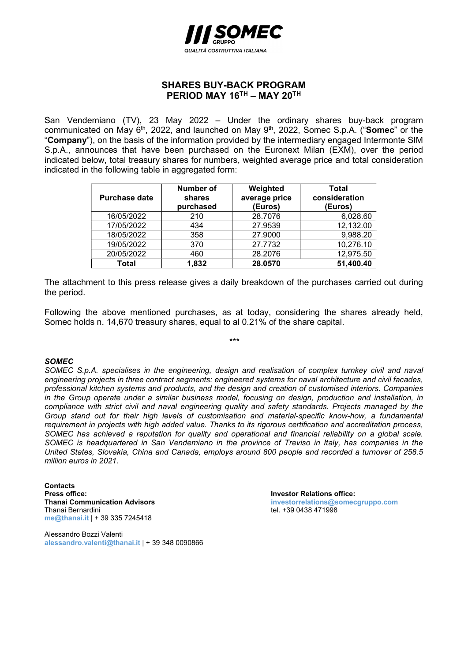

## SHARES BUY-BACK PROGRAM PERIOD MAY 16<sup>TH</sup> – MAY 20<sup>TH</sup>

San Vendemiano (TV), 23 May 2022 – Under the ordinary shares buy-back program communicated on May 6<sup>th</sup>, 2022, and launched on May 9<sup>th</sup>, 2022, Somec S.p.A. ("Somec" or the "Company"), on the basis of the information provided by the intermediary engaged Intermonte SIM S.p.A., announces that have been purchased on the Euronext Milan (EXM), over the period indicated below, total treasury shares for numbers, weighted average price and total consideration indicated in the following table in aggregated form:

| <b>Purchase date</b> | Number of<br>shares<br>purchased | Weighted<br>average price<br>(Euros) | Total<br>consideration<br>(Euros) |
|----------------------|----------------------------------|--------------------------------------|-----------------------------------|
| 16/05/2022           | 210                              | 28.7076                              | 6,028.60                          |
| 17/05/2022           | 434                              | 27.9539                              | 12,132.00                         |
| 18/05/2022           | 358                              | 27.9000                              | 9,988.20                          |
| 19/05/2022           | 370                              | 27.7732                              | 10,276.10                         |
| 20/05/2022           | 460                              | 28.2076                              | 12,975.50                         |
| Total                | 1,832                            | 28.0570                              | 51,400.40                         |

The attachment to this press release gives a daily breakdown of the purchases carried out during the period.

Following the above mentioned purchases, as at today, considering the shares already held, Somec holds n. 14,670 treasury shares, equal to al 0.21% of the share capital.

\*\*\*

## SOMEC

SOMEC S.p.A. specialises in the engineering, design and realisation of complex turnkey civil and naval engineering projects in three contract segments: engineered systems for naval architecture and civil facades, professional kitchen systems and products, and the design and creation of customised interiors. Companies in the Group operate under a similar business model, focusing on design, production and installation, in compliance with strict civil and naval engineering quality and safety standards. Projects managed by the Group stand out for their high levels of customisation and material-specific know-how, a fundamental requirement in projects with high added value. Thanks to its rigorous certification and accreditation process, SOMEC has achieved a reputation for quality and operational and financial reliability on a global scale. SOMEC is headquartered in San Vendemiano in the province of Treviso in Italy, has companies in the United States, Slovakia, China and Canada, employs around 800 people and recorded a turnover of 258.5 million euros in 2021.

**Contacts** Press office:<br>
Thanai Communication Advisors<br>
Thanai Communication Advisors<br>
Thanai Communication Advisors Thanai Bernardini **tel. +39 0438 471998** me@thanai.it | + 39 335 7245418

Alessandro Bozzi Valenti alessandro.valenti@thanai.it | + 39 348 0090866 investorrelations@somecgruppo.com